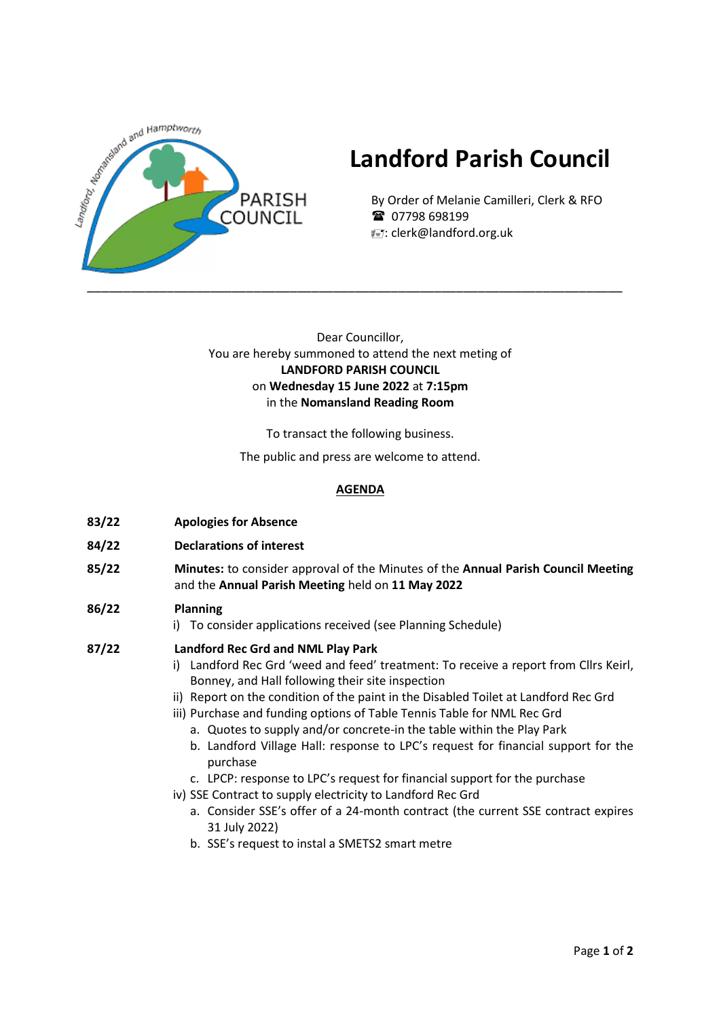

# **Landford Parish Council**

By Order of Melanie Camilleri, Clerk & RFO ■ 07798 698199 : clerk@landford.org.uk

## Dear Councillor, You are hereby summoned to attend the next meting of **LANDFORD PARISH COUNCIL** on **Wednesday 15 June 2022** at **7:15pm** in the **Nomansland Reading Room**

To transact the following business.

The public and press are welcome to attend.

## **AGENDA**

- **83/22 Apologies for Absence**
- **84/22 Declarations of interest**
- **85/22 Minutes:** to consider approval of the Minutes of the **Annual Parish Council Meeting** and the **Annual Parish Meeting** held on **11 May 2022**

### **86/22 Planning**

i) To consider applications received (see Planning Schedule)

#### **87/22 Landford Rec Grd and NML Play Park**

- i) Landford Rec Grd 'weed and feed' treatment: To receive a report from Cllrs Keirl, Bonney, and Hall following their site inspection
- ii) Report on the condition of the paint in the Disabled Toilet at Landford Rec Grd
- iii) Purchase and funding options of Table Tennis Table for NML Rec Grd
	- a. Quotes to supply and/or concrete-in the table within the Play Park
	- b. Landford Village Hall: response to LPC's request for financial support for the purchase
	- c. LPCP: response to LPC's request for financial support for the purchase
- iv) SSE Contract to supply electricity to Landford Rec Grd
	- a. Consider SSE's offer of a 24-month contract (the current SSE contract expires 31 July 2022)
	- b. SSE's request to instal a SMETS2 smart metre